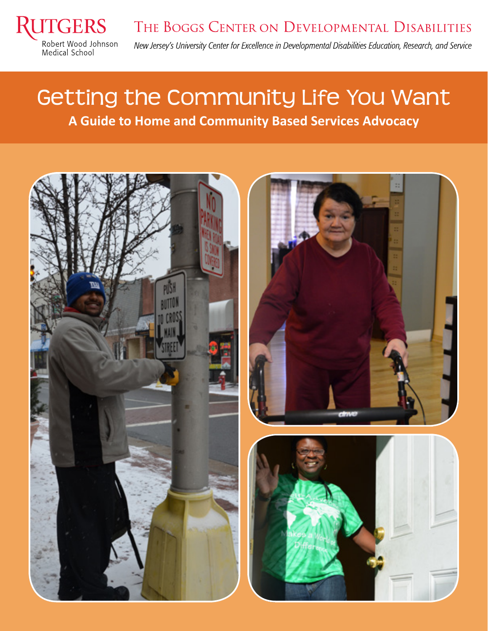

## Getting the Community Life You Want **A Guide to Home and Community Based Services Advocacy**

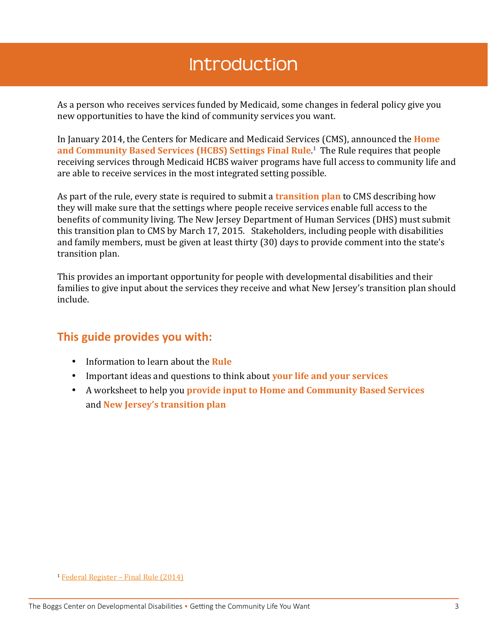#### Introduction

As a person who receives services funded by Medicaid, some changes in federal policy give you new opportunities to have the kind of community services you want.

In January 2014, the Centers for Medicare and Medicaid Services (CMS), announced the **Home and Community Based Services (HCBS) Settings Final Rule**. 1 The Rule requires that people receiving services through Medicaid HCBS waiver programs have full access to community life and are able to receive services in the most integrated setting possible.

As part of the rule, every state is required to submit a **transition plan** to CMS describing how they will make sure that the settings where people receive services enable full access to the benefits of community living. The New Jersey Department of Human Services (DHS) must submit this transition plan to CMS by March 17, 2015. Stakeholders, including people with disabilities and family members, must be given at least thirty (30) days to provide comment into the state's transition plan.

This provides an important opportunity for people with developmental disabilities and their families to give input about the services they receive and what New Jersey's transition plan should include.

#### **This guide provides you with:**

- • Information to learn about the **Rule**
- • Important ideas and questions to think about **your life and your services**
- • A worksheet to help you **provide input to Home and Community Based Services**  and **New Jersey's transition plan**

<sup>1</sup> [Federal Register – Final Rule \(2014\)](https://www.federalregister.gov/articles/2014/01/16/2014-00487/medicaid-program-state-plan-home-and-community-based-services-5-year-period-for-waivers-provider)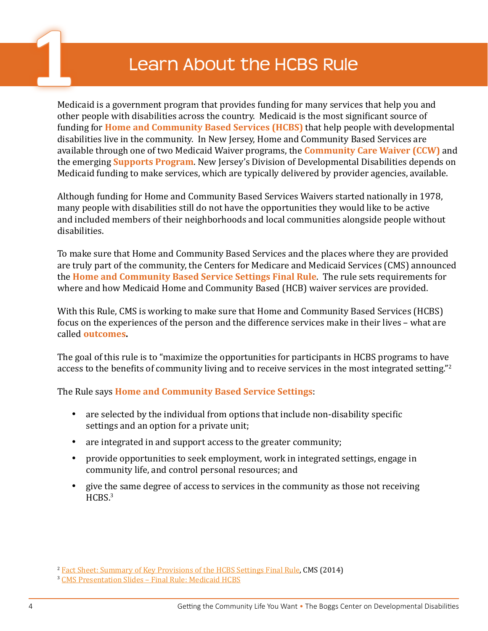#### **1** Learn About the HCBS Rule

Medicaid is a government program that provides funding for many services that help you and other people with disabilities across the country. Medicaid is the most significant source of funding for **Home and Community Based Services (HCBS)** that help people with developmental disabilities live in the community. In New Jersey, Home and Community Based Services are available through one of two Medicaid Waiver programs, the **Community Care Waiver (CCW)** and the emerging **Supports Program**. New Jersey's Division of Developmental Disabilities depends on Medicaid funding to make services, which are typically delivered by provider agencies, available.

Although funding for Home and Community Based Services Waivers started nationally in 1978, many people with disabilities still do not have the opportunities they would like to be active and included members of their neighborhoods and local communities alongside people without disabilities.

To make sure that Home and Community Based Services and the places where they are provided are truly part of the community, the Centers for Medicare and Medicaid Services (CMS) announced the **Home and Community Based Service Settings Final Rule**. The rule sets requirements for where and how Medicaid Home and Community Based (HCB) waiver services are provided.

With this Rule, CMS is working to make sure that Home and Community Based Services (HCBS) focus on the experiences of the person and the difference services make in their lives – what are called **outcomes.**

The goal of this rule is to "maximize the opportunities for participants in HCBS programs to have access to the benefits of community living and to receive services in the most integrated setting."<sup>2</sup>

The Rule says **Home and Community Based Service Settings**:

- are selected by the individual from options that include non-disability specific settings and an option for a private unit;
- are integrated in and support access to the greater community;
- provide opportunities to seek employment, work in integrated settings, engage in community life, and control personal resources; and
- give the same degree of access to services in the community as those not receiving HCBS.<sup>3</sup>

<sup>&</sup>lt;sup>2</sup> [Fact Sheet: Summary of Key Provisions of the HCBS Settings Final Rule](http://www.medicaid.gov/medicaid-chip-program-information/by-topics/long-term-services-and-supports/home-and-community-based-services/downloads/hcbs-setting-fact-sheet.pdf), CMS (2014)

<sup>3</sup> [CMS Presentation Slides – Final Rule: Medicaid HCBS](http://www.medicaid.gov/Medicaid-CHIP-Program-Information/By-Topics/Long-Term-Services-and-Supports/Home-and-Community-Based-Services/Downloads/Final-Rule-Slides-01292014.pdf)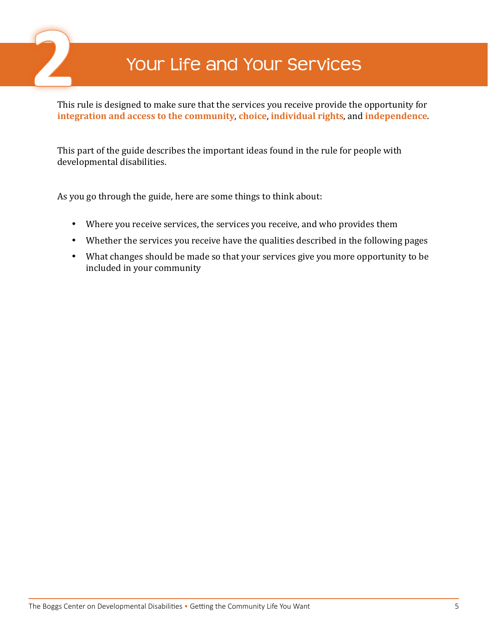

### **2** Your Life and Your Services

This rule is designed to make sure that the services you receive provide the opportunity for **integration and access to the community**, **choice**, **individual rights**, and **independence**.

This part of the guide describes the important ideas found in the rule for people with developmental disabilities.

As you go through the guide, here are some things to think about:

- Where you receive services, the services you receive, and who provides them
- Whether the services you receive have the qualities described in the following pages
- What changes should be made so that your services give you more opportunity to be included in your community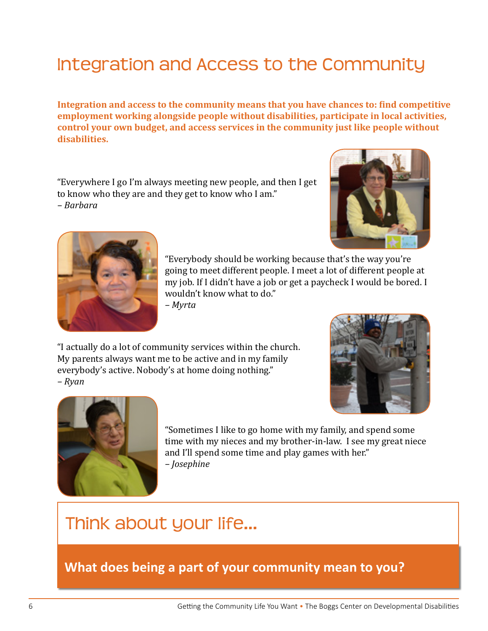#### Integration and Access to the Community

**Integration and access to the community means that you have chances to: find competitive employment working alongside people without disabilities, participate in local activities, control your own budget, and access services in the community just like people without disabilities.**

"Everywhere I go I'm always meeting new people, and then I get to know who they are and they get to know who I am." *– Barbara*





"Everybody should be working because that's the way you're going to meet different people. I meet a lot of different people at my job. If I didn't have a job or get a paycheck I would be bored. I wouldn't know what to do."

*– Myrta*

"I actually do a lot of community services within the church. My parents always want me to be active and in my family everybody's active. Nobody's at home doing nothing." *– Ryan*





"Sometimes I like to go home with my family, and spend some time with my nieces and my brother-in-law. I see my great niece and I'll spend some time and play games with her." *– Josephine*

#### Think about your life…

**What does being a part of your community mean to you?**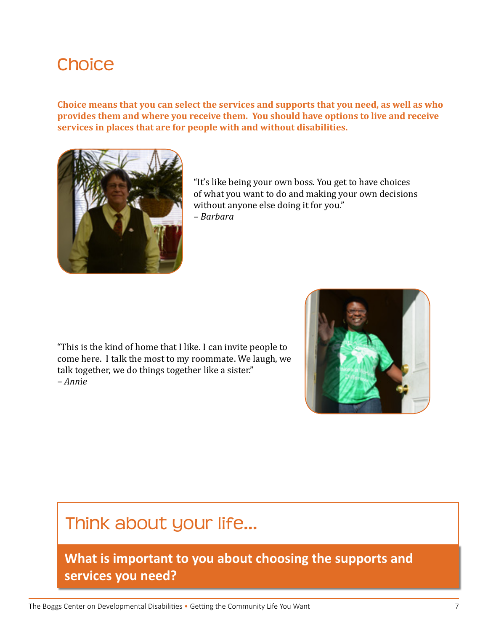#### **Choice**

**Choice means that you can select the services and supports that you need, as well as who provides them and where you receive them. You should have options to live and receive services in places that are for people with and without disabilities.**



"It's like being your own boss. You get to have choices of what you want to do and making your own decisions without anyone else doing it for you."

*– Barbara*

"This is the kind of home that I like. I can invite people to come here. I talk the most to my roommate. We laugh, we talk together, we do things together like a sister." *– Ann*i*e*



#### Think about your life…

**What is important to you about choosing the supports and services you need?**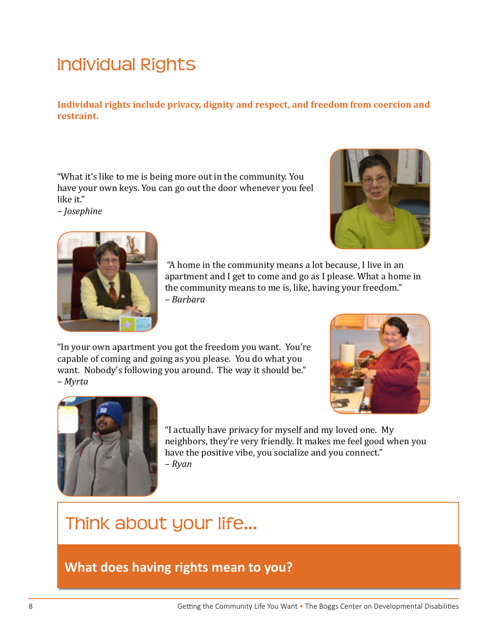#### Individual Rights

**Individual rights include privacy, dignity and respect, and freedom from coercion and restraint.** 

"What it's like to me is being more out in the community. You have your own keys. You can go out the door whenever you feel like it."

*– Josephine*





 "A home in the community means a lot because, I live in an apartment and I get to come and go as I please. What a home in the community means to me is, like, having your freedom." *– Barbara*

"In your own apartment you got the freedom you want. You're capable of coming and going as you please. You do what you want. Nobody's following you around. The way it should be." *– Myrta*





"I actually have privacy for myself and my loved one. My neighbors, they're very friendly. It makes me feel good when you have the positive vibe, you socialize and you connect." *– Ryan*

## Think about your life…

**What does having rights mean to you?**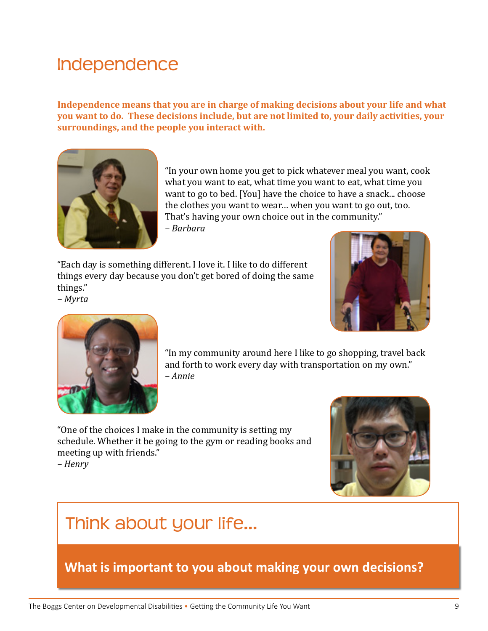#### Independence

**Independence means that you are in charge of making decisions about your life and what you want to do. These decisions include, but are not limited to, your daily activities, your surroundings, and the people you interact with.**



"In your own home you get to pick whatever meal you want, cook what you want to eat, what time you want to eat, what time you want to go to bed. [You] have the choice to have a snack... choose the clothes you want to wear… when you want to go out, too. That's having your own choice out in the community."

*– Barbara*

"Each day is something different. I love it. I like to do different things every day because you don't get bored of doing the same things."

*– Myrta*





"In my community around here I like to go shopping, travel back and forth to work every day with transportation on my own." *– Annie*

"One of the choices I make in the community is setting my schedule. Whether it be going to the gym or reading books and meeting up with friends."

*– Henry* 



#### Think about your life…

**What is important to you about making your own decisions?**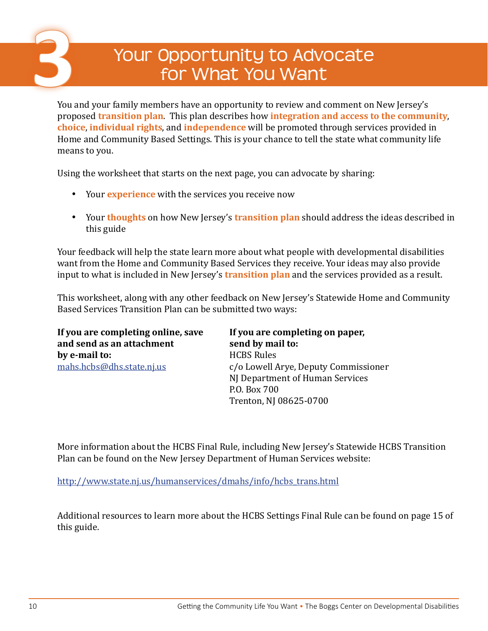# Your Opportunity to Advocate **3** for What You Want

You and your family members have an opportunity to review and comment on New Jersey's proposed **transition plan**.This plan describes how **integration and access to the community**, **choice**, **individual rights**, and **independence** will be promoted through services provided in Home and Community Based Settings. This is your chance to tell the state what community life means to you.

Using the worksheet that starts on the next page, you can advocate by sharing:

- • Your **experience** with the services you receive now
- • Your **thoughts** on how New Jersey's **transition plan** should address the ideas described in this guide

Your feedback will help the state learn more about what people with developmental disabilities want from the Home and Community Based Services they receive. Your ideas may also provide input to what is included in New Jersey's **transition plan** and the services provided as a result.

This worksheet, along with any other feedback on New Jersey's Statewide Home and Community Based Services Transition Plan can be submitted two ways:

| If you are completing online, save | If you are completing on paper,      |
|------------------------------------|--------------------------------------|
| and send as an attachment          | send by mail to:                     |
| by e-mail to:                      | <b>HCBS Rules</b>                    |
| <u>mahs.hcbs@dhs.state.nj.us</u>   | c/o Lowell Arye, Deputy Commissioner |
|                                    | NJ Department of Human Services      |
|                                    | P.O. Box 700                         |
|                                    | Trenton, NJ 08625-0700               |

More information about the HCBS Final Rule, including New Jersey's Statewide HCBS Transition Plan can be found on the New Jersey Department of Human Services website:

[http://www.state.nj.us/humanservices/dmahs/info/hcbs\\_trans.html](http://www.state.nj.us/humanservices/dmahs/info/hcbs_trans.html)

Additional resources to learn more about the HCBS Settings Final Rule can be found on page 15 of this guide.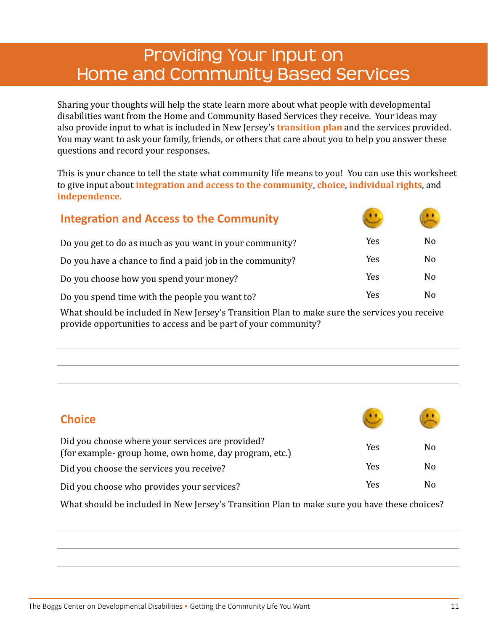#### Providing Your Input on Home and Community Based Services

Sharing your thoughts will help the state learn more about what people with developmental disabilities want from the Home and Community Based Services they receive. Your ideas may also provide input to what is included in New Jersey's **transition plan** and the services provided. You may want to ask your family, friends, or others that care about you to help you answer these questions and record your responses.

This is your chance to tell the state what community life means to you! You can use this worksheet to give input about **integration and access to the community**, **choice**, **individual rights**, and **independence.** 

| <b>Integration and Access to the Community</b>            |            |                |
|-----------------------------------------------------------|------------|----------------|
| Do you get to do as much as you want in your community?   | Yes        | No             |
| Do you have a chance to find a paid job in the community? | Yes        | N <sub>0</sub> |
| Do you choose how you spend your money?                   | Yes        | N <sub>0</sub> |
| Do you spend time with the people you want to?            | <b>Yes</b> | N <sub>0</sub> |

What should be included in New Jersey's Transition Plan to make sure the services you receive provide opportunities to access and be part of your community?

| <b>Choice</b>                                                                                             |     |    |
|-----------------------------------------------------------------------------------------------------------|-----|----|
| Did you choose where your services are provided?<br>(for example-group home, own home, day program, etc.) | Yes | No |
| Did you choose the services you receive?                                                                  | Yes | No |
| Did you choose who provides your services?                                                                | Yes | No |

What should be included in New Jersey's Transition Plan to make sure you have these choices?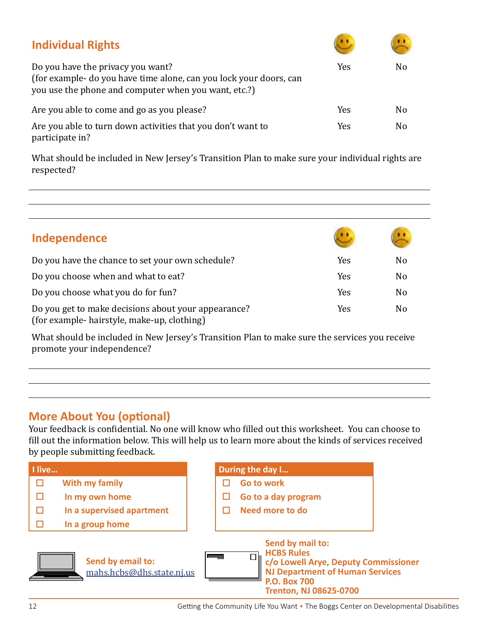| <b>Individual Rights</b>                                                                                                                                        |     |    |
|-----------------------------------------------------------------------------------------------------------------------------------------------------------------|-----|----|
| Do you have the privacy you want?<br>(for example- do you have time alone, can you lock your doors, can<br>you use the phone and computer when you want, etc.?) | Yes | No |
| Are you able to come and go as you please?                                                                                                                      | Yes | No |
| Are you able to turn down activities that you don't want to<br>participate in?                                                                                  | Yes | No |

What should be included in New Jersey's Transition Plan to make sure your individual rights are respected?

| Independence                                                                                       |     |                |
|----------------------------------------------------------------------------------------------------|-----|----------------|
| Do you have the chance to set your own schedule?                                                   | Yes | No             |
| Do you choose when and what to eat?                                                                | Yes | N <sub>o</sub> |
| Do you choose what you do for fun?                                                                 | Yes | No             |
| Do you get to make decisions about your appearance?<br>(for example- hairstyle, make-up, clothing) | Yes | No             |

What should be included in New Jersey's Transition Plan to make sure the services you receive promote your independence?

#### **More About You (optional)**

Your feedback is confidential. No one will know who filled out this worksheet. You can choose to fill out the information below. This will help us to learn more about the kinds of services received by people submitting feedback.

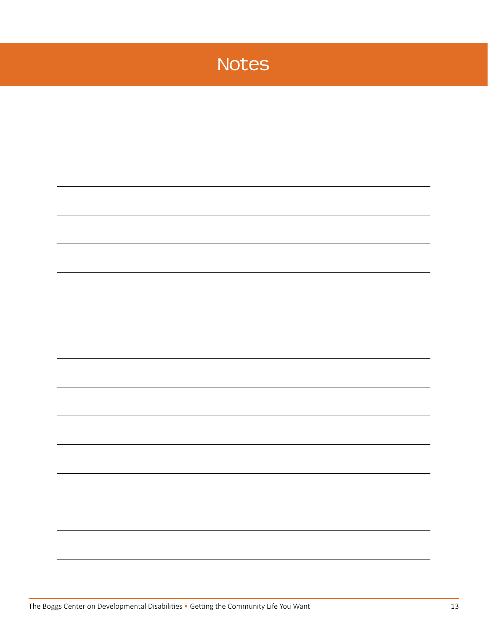### Notes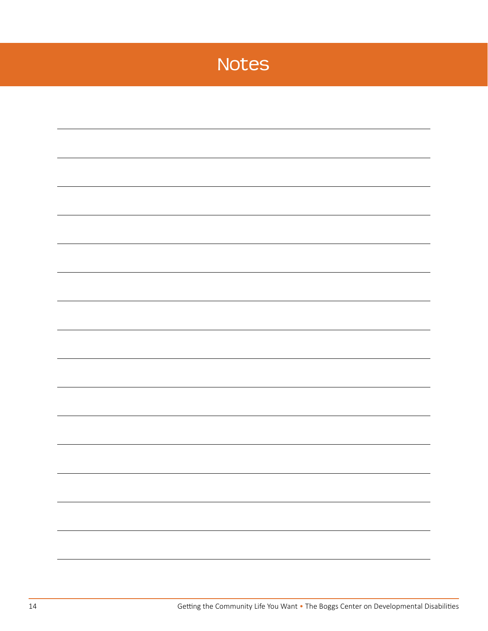### Notes

|  | $\mathbf{r}$ and $\mathbf{r}$ and $\mathbf{r}$ and $\mathbf{r}$ and $\mathbf{r}$ and $\mathbf{r}$ and $\mathbf{r}$ and $\mathbf{r}$ and $\mathbf{r}$ and $\mathbf{r}$ and $\mathbf{r}$ and $\mathbf{r}$ and $\mathbf{r}$ and $\mathbf{r}$ and $\mathbf{r}$ and $\mathbf{r}$ and $\mathbf{r}$ and | Getting the Community Life You Want • The Boggs Center on Developmental Disabilities |
|--|--------------------------------------------------------------------------------------------------------------------------------------------------------------------------------------------------------------------------------------------------------------------------------------------------|--------------------------------------------------------------------------------------|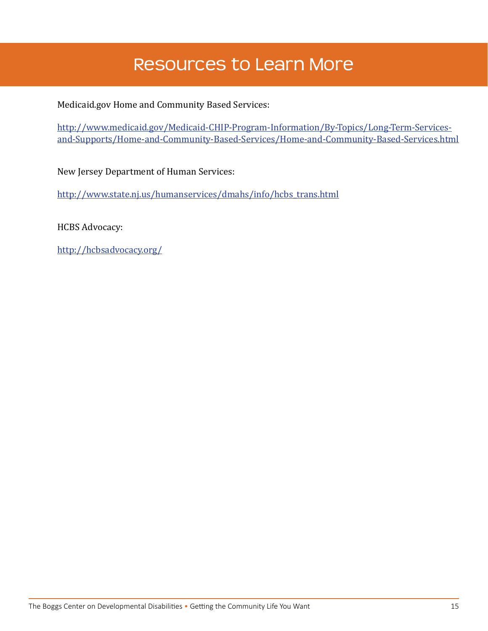#### Resources to Learn More

Medicaid.gov Home and Community Based Services:

[http://www.medicaid.gov/Medicaid-CHIP-Program-Information/By-Topics/Long-Term-Services](http://www.medicaid.gov/Medicaid-CHIP-Program-Information/By-Topics/Long-Term-Services-and-Supports/Home-and-Community-Based-Services/Home-and-Community-Based-Services.html)[and-Supports/Home-and-Community-Based-Services/Home-and-Community-Based-Services.html](http://www.medicaid.gov/Medicaid-CHIP-Program-Information/By-Topics/Long-Term-Services-and-Supports/Home-and-Community-Based-Services/Home-and-Community-Based-Services.html)

New Jersey Department of Human Services:

[http://www.state.nj.us/humanservices/dmahs/info/hcbs\\_trans.html](http://www.state.nj.us/humanservices/dmahs/info/hcbs_trans.html)

HCBS Advocacy:

<http://hcbsadvocacy.org/>